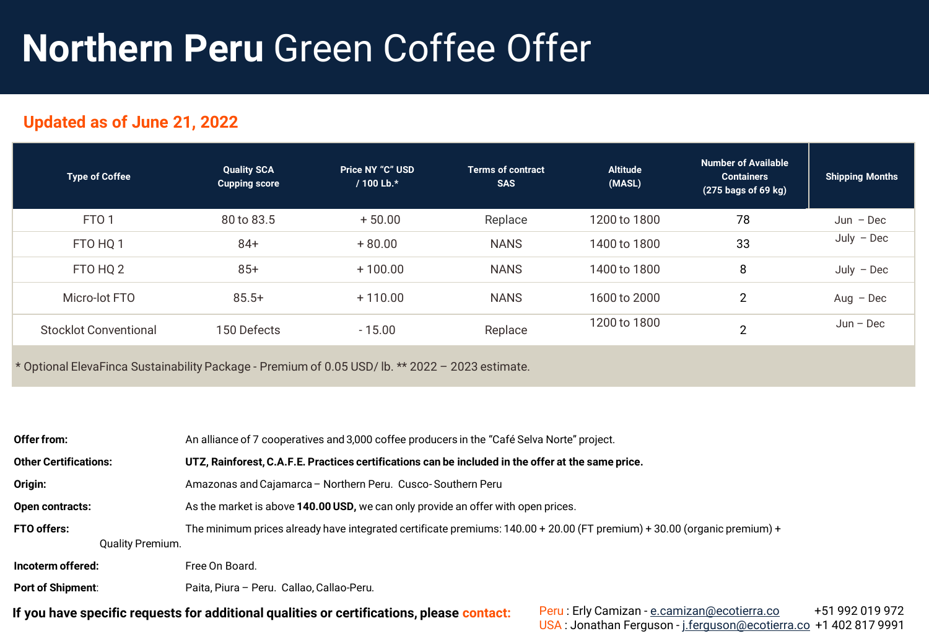## **Northern Peru** Green Coffee Offer

### **Updated as of June 21, 2022**

| <b>Type of Coffee</b>        | <b>Quality SCA</b><br><b>Cupping score</b> | <b>Price NY "C" USD</b><br>/ 100 Lb.* | <b>Terms of contract</b><br><b>SAS</b> | <b>Altitude</b><br>(MASL) | <b>Number of Available</b><br><b>Containers</b><br>$(275$ bags of 69 kg) | <b>Shipping Months</b> |
|------------------------------|--------------------------------------------|---------------------------------------|----------------------------------------|---------------------------|--------------------------------------------------------------------------|------------------------|
| FTO <sub>1</sub>             | 80 to 83.5                                 | $+50.00$                              | Replace                                | 1200 to 1800              | 78                                                                       | $Jun - Dec$            |
| FTO HQ 1                     | 84+                                        | $+80.00$                              | <b>NANS</b>                            | 1400 to 1800              | 33                                                                       | $July - Dec$           |
| FTO HQ 2                     | $85+$                                      | $+100.00$                             | <b>NANS</b>                            | 1400 to 1800              | 8                                                                        | $July - Dec$           |
| Micro-lot FTO                | $85.5+$                                    | $+110.00$                             | <b>NANS</b>                            | 1600 to 2000              | $\overline{2}$                                                           | $Aug - Dec$            |
| <b>Stocklot Conventional</b> | 150 Defects                                | $-15.00$                              | Replace                                | 1200 to 1800              | 2                                                                        | $Jun - Dec$            |
|                              |                                            |                                       |                                        |                           |                                                                          |                        |

\* Optional ElevaFinca Sustainability Package - Premium of 0.05 USD/ lb. \*\* 2022 – 2023 estimate.

| Offer from:                                   | An alliance of 7 cooperatives and 3,000 coffee producers in the "Café Selva Norte" project.                              |                                                                                                                                    |  |  |  |  |  |
|-----------------------------------------------|--------------------------------------------------------------------------------------------------------------------------|------------------------------------------------------------------------------------------------------------------------------------|--|--|--|--|--|
| <b>Other Certifications:</b>                  | UTZ, Rainforest, C.A.F.E. Practices certifications can be included in the offer at the same price.                       |                                                                                                                                    |  |  |  |  |  |
| Origin:                                       | Amazonas and Cajamarca - Northern Peru. Cusco-Southern Peru                                                              |                                                                                                                                    |  |  |  |  |  |
| <b>Open contracts:</b>                        | As the market is above 140.00 USD, we can only provide an offer with open prices.                                        |                                                                                                                                    |  |  |  |  |  |
| <b>FTO offers:</b><br><b>Quality Premium.</b> | The minimum prices already have integrated certificate premiums: 140.00 + 20.00 (FT premium) + 30.00 (organic premium) + |                                                                                                                                    |  |  |  |  |  |
| Incoterm offered:                             | Free On Board.                                                                                                           |                                                                                                                                    |  |  |  |  |  |
| <b>Port of Shipment:</b>                      | Paita, Piura - Peru. Callao, Callao-Peru.                                                                                |                                                                                                                                    |  |  |  |  |  |
|                                               | If you have specific requests for additional qualities or certifications, please contact:                                | +51 992 019 972<br>Peru: Erly Camizan - e.camizan@ecotierra.co<br>USA: Jonathan Ferguson - j.ferguson@ecotierra.co +1 402 817 9991 |  |  |  |  |  |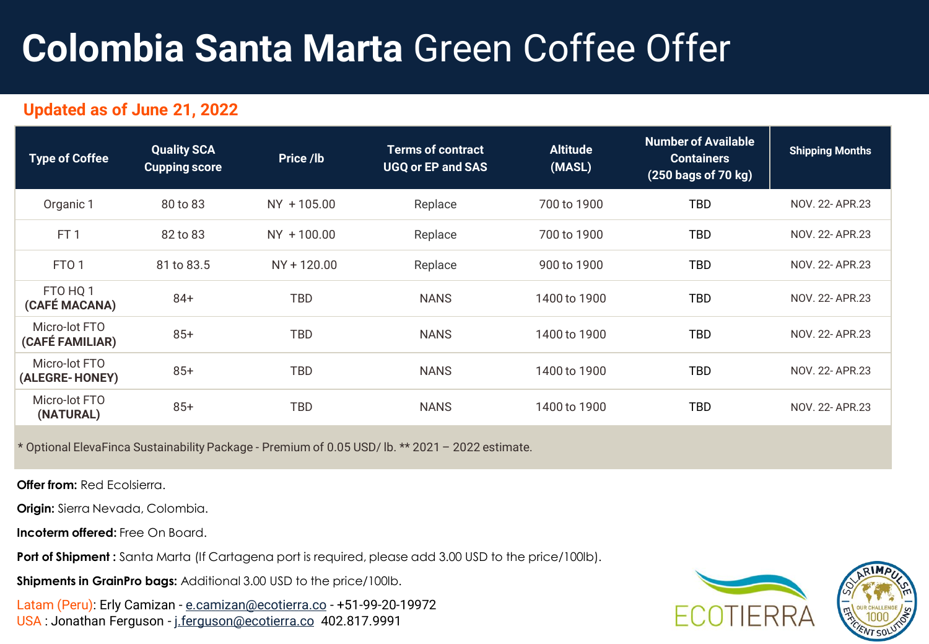# **Colombia Santa Marta** Green Coffee Offer

### **Updated as of June 21, 2022**

| <b>Type of Coffee</b>            | <b>Quality SCA</b><br><b>Cupping score</b> | Price /lb   | <b>Terms of contract</b><br><b>UGQ or EP and SAS</b> | <b>Altitude</b><br>(MASL) | <b>Number of Available</b><br><b>Containers</b><br>(250 bags of 70 kg) | <b>Shipping Months</b> |
|----------------------------------|--------------------------------------------|-------------|------------------------------------------------------|---------------------------|------------------------------------------------------------------------|------------------------|
| Organic 1                        | 80 to 83                                   | NY +105.00  | Replace                                              | 700 to 1900               | <b>TBD</b>                                                             | NOV. 22- APR.23        |
| FT <sub>1</sub>                  | 82 to 83                                   | NY +100.00  | Replace                                              | 700 to 1900               | <b>TBD</b>                                                             | NOV. 22- APR.23        |
| FTO <sub>1</sub>                 | 81 to 83.5                                 | NY + 120.00 | Replace                                              | 900 to 1900               | <b>TBD</b>                                                             | NOV. 22- APR.23        |
| FTO HQ 1<br>(CAFÉ MACANA)        | $84+$                                      | <b>TBD</b>  | <b>NANS</b>                                          | 1400 to 1900              | <b>TBD</b>                                                             | NOV. 22- APR.23        |
| Micro-lot FTO<br>(CAFÉ FAMILIAR) | $85+$                                      | TBD         | <b>NANS</b>                                          | 1400 to 1900              | TBD                                                                    | NOV. 22- APR.23        |
| Micro-lot FTO<br>(ALEGRE-HONEY)  | $85+$                                      | TBD         | <b>NANS</b>                                          | 1400 to 1900              | TBD                                                                    | NOV. 22- APR.23        |
| Micro-lot FTO<br>(NATURAL)       | $85+$                                      | TBD         | <b>NANS</b>                                          | 1400 to 1900              | TBD                                                                    | NOV. 22- APR.23        |

\* Optional ElevaFinca Sustainability Package - Premium of 0.05 USD/ lb. \*\* 2021 – 2022 estimate.

**Offer from: Red Ecolsierra.** 

**Origin:** Sierra Nevada, Colombia.

**Incoterm offered:** Free On Board.

Port of Shipment : Santa Marta (If Cartagena port is required, please add 3.00 USD to the price/100lb).

**Shipments in GrainPro bags:** Additional 3.00 USD to the price/100lb.

Latam (Peru): Erly Camizan - [e.camizan@ecotierra.co](mailto:e.camizan@ecotierra.co) - +51-99-20-19972 USA : Jonathan Ferguson - [j.ferguson@ecotierra.co](mailto:e.camizan@ecotierra.co) 402.817.9991

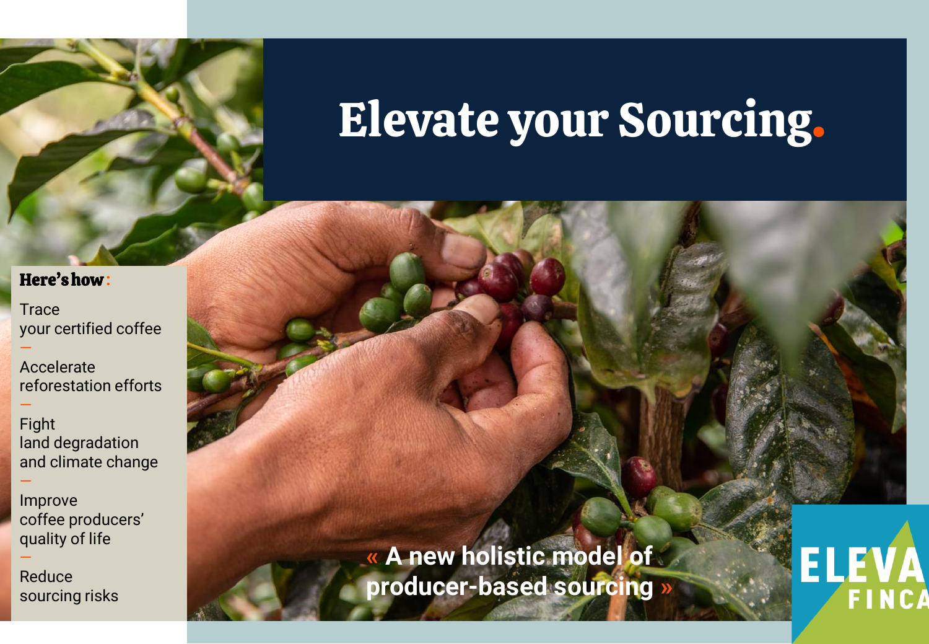

# Elevate your Sourcing.

### Here'show **:**

—

—

—

—

**Trace** your certified coffee

Accelerate reforestation efforts

Fight land degradation and climate change

Improve coffee producers' quality of life

Reduce sourcing risks **« A new holistic model of producer-based sourcing »**

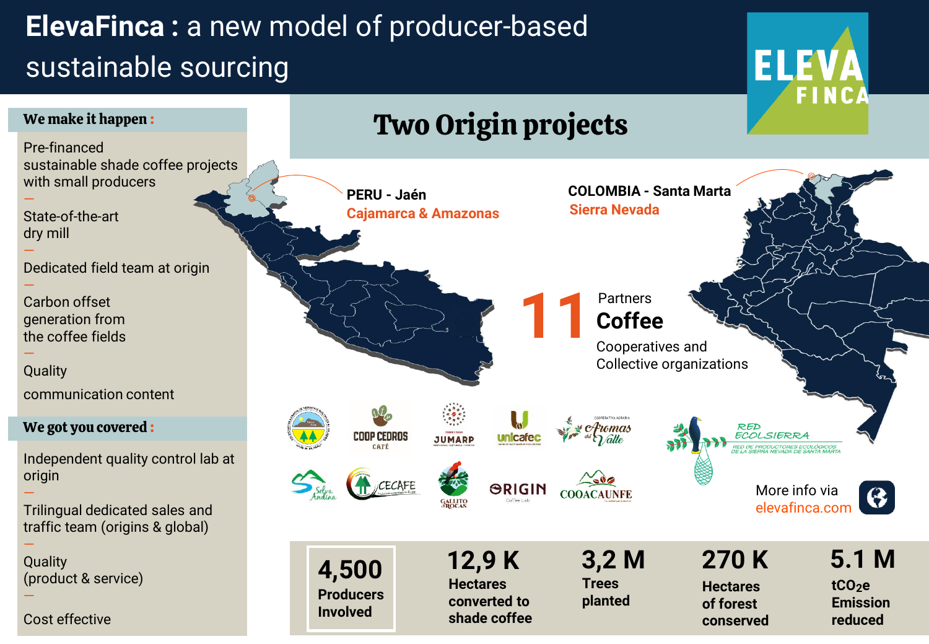### **ElevaFinca :** a new model of producer-based sustainable sourcing



**shade coffee**

**conserved**

**reduced**

**ELEVA** 

Cost effective

—

—

—

—

—

—

—